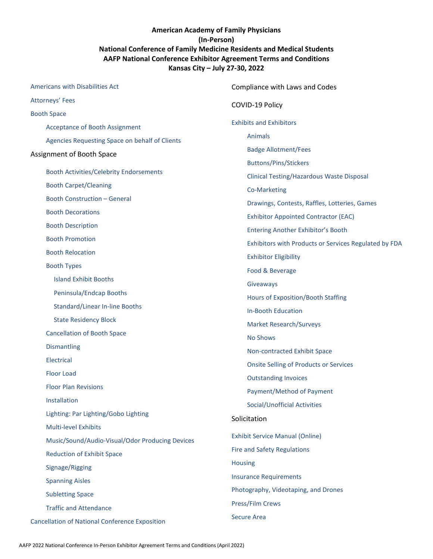#### **American Academy of Family Physicians (In-Person) National Conference of Family Medicine Residents and Medical Students AAFP National Conference Exhibitor Agreement Terms and Conditions Kansas City – July 27-30, 2022**

| Americans with Disabilities Act                       | Compliance with Laws and Codes                        |
|-------------------------------------------------------|-------------------------------------------------------|
| <b>Attorneys' Fees</b>                                | COVID-19 Policy                                       |
| <b>Booth Space</b>                                    |                                                       |
| <b>Acceptance of Booth Assignment</b>                 | <b>Exhibits and Exhibitors</b>                        |
| Agencies Requesting Space on behalf of Clients        | Animals                                               |
| Assignment of Booth Space                             | <b>Badge Allotment/Fees</b>                           |
| <b>Booth Activities/Celebrity Endorsements</b>        | <b>Buttons/Pins/Stickers</b>                          |
| <b>Booth Carpet/Cleaning</b>                          | Clinical Testing/Hazardous Waste Disposal             |
| <b>Booth Construction - General</b>                   | Co-Marketing                                          |
|                                                       | Drawings, Contests, Raffles, Lotteries, Games         |
| <b>Booth Decorations</b>                              | <b>Exhibitor Appointed Contractor (EAC)</b>           |
| <b>Booth Description</b>                              | <b>Entering Another Exhibitor's Booth</b>             |
| <b>Booth Promotion</b>                                | Exhibitors with Products or Services Regulated by FDA |
| <b>Booth Relocation</b>                               | <b>Exhibitor Eligibility</b>                          |
| <b>Booth Types</b>                                    | Food & Beverage                                       |
| <b>Island Exhibit Booths</b>                          | Giveaways                                             |
| Peninsula/Endcap Booths                               | <b>Hours of Exposition/Booth Staffing</b>             |
| <b>Standard/Linear In-line Booths</b>                 | <b>In-Booth Education</b>                             |
| <b>State Residency Block</b>                          | <b>Market Research/Surveys</b>                        |
| <b>Cancellation of Booth Space</b>                    | <b>No Shows</b>                                       |
| <b>Dismantling</b>                                    | Non-contracted Exhibit Space                          |
| Electrical                                            | <b>Onsite Selling of Products or Services</b>         |
| <b>Floor Load</b>                                     | <b>Outstanding Invoices</b>                           |
| <b>Floor Plan Revisions</b>                           | Payment/Method of Payment                             |
| Installation                                          | Social/Unofficial Activities                          |
| Lighting: Par Lighting/Gobo Lighting                  | Solicitation                                          |
| <b>Multi-level Exhibits</b>                           |                                                       |
| Music/Sound/Audio-Visual/Odor Producing Devices       | <b>Exhibit Service Manual (Online)</b>                |
| <b>Reduction of Exhibit Space</b>                     | <b>Fire and Safety Regulations</b>                    |
| Signage/Rigging                                       | <b>Housing</b>                                        |
| <b>Spanning Aisles</b>                                | <b>Insurance Requirements</b>                         |
| <b>Subletting Space</b>                               | Photography, Videotaping, and Drones                  |
| <b>Traffic and Attendance</b>                         | Press/Film Crews                                      |
| <b>Cancellation of National Conference Exposition</b> | <b>Secure Area</b>                                    |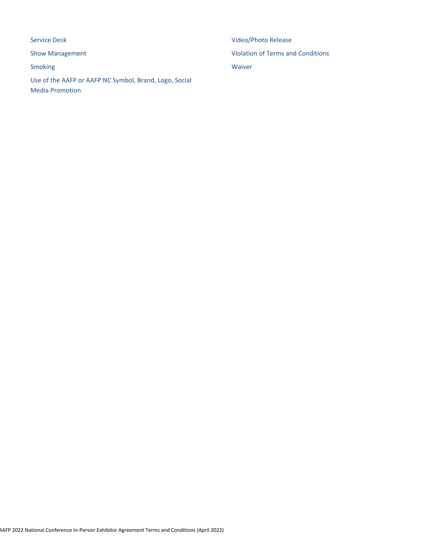[Service Desk](#page-18-3) [Show Management](#page-18-4) [Smoking](#page-19-0) [Use of the AAFP or AAFP NC Symbol, Brand, Logo, Social](#page-19-1)  [Media Promotion](#page-19-1)

[Video/Photo Release](#page-20-0) [Violation of Terms and Conditions](#page-20-1) [Waiver](#page-20-2)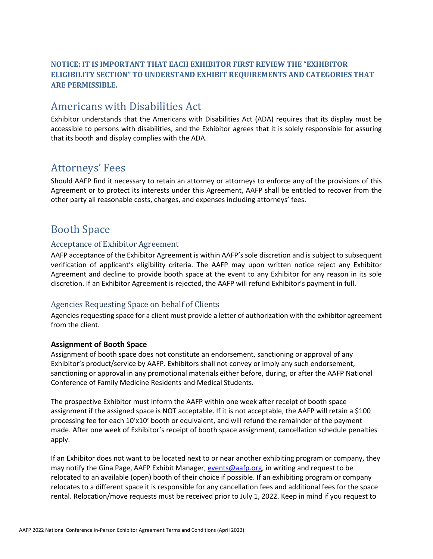#### <span id="page-2-0"></span>**NOTICE: IT IS IMPORTANT THAT EACH EXHIBITOR FIRST REVIEW THE "EXHIBITOR ELIGIBILITY SECTION" TO UNDERSTAND EXHIBIT REQUIREMENTS AND CATEGORIES THAT ARE PERMISSIBLE.**

## Americans with Disabilities Act

Exhibitor understands that the Americans with Disabilities Act (ADA) requires that its display must be accessible to persons with disabilities, and the Exhibitor agrees that it is solely responsible for assuring that its booth and display complies with the ADA.

## <span id="page-2-1"></span>Attorneys' Fees

Should AAFP find it necessary to retain an attorney or attorneys to enforce any of the provisions of this Agreement or to protect its interests under this Agreement, AAFP shall be entitled to recover from the other party all reasonable costs, charges, and expenses including attorneys' fees.

## <span id="page-2-2"></span>Booth Space

#### <span id="page-2-3"></span>Acceptance of Exhibitor Agreement

AAFP acceptance of the Exhibitor Agreement is within AAFP's sole discretion and is subject to subsequent verification of applicant's eligibility criteria. The AAFP may upon written notice reject any Exhibitor Agreement and decline to provide booth space at the event to any Exhibitor for any reason in its sole discretion. If an Exhibitor Agreement is rejected, the AAFP will refund Exhibitor's payment in full.

#### <span id="page-2-4"></span>Agencies Requesting Space on behalf of Clients

Agencies requesting space for a client must provide a letter of authorization with the exhibitor agreement from the client.

#### **Assignment of Booth Space**

Assignment of booth space does not constitute an endorsement, sanctioning or approval of any Exhibitor's product/service by AAFP. Exhibitors shall not convey or imply any such endorsement, sanctioning or approval in any promotional materials either before, during, or after the AAFP National Conference of Family Medicine Residents and Medical Students.

The prospective Exhibitor must inform the AAFP within one week after receipt of booth space assignment if the assigned space is NOT acceptable. If it is not acceptable, the AAFP will retain a \$100 processing fee for each 10'x10' booth or equivalent, and will refund the remainder of the payment made. After one week of Exhibitor's receipt of booth space assignment, cancellation schedule penalties apply.

If an Exhibitor does not want to be located next to or near another exhibiting program or company, they may notify the Gina Page, AAFP Exhibit Manager[, events@aafp.org,](mailto:events@aafp.org) in writing and request to be relocated to an available (open) booth of their choice if possible. If an exhibiting program or company relocates to a different space it is responsible for any cancellation fees and additional fees for the space rental. Relocation/move requests must be received prior to July 1, 2022. Keep in mind if you request to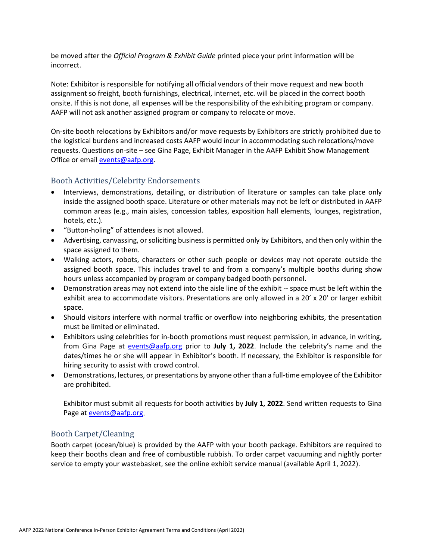be moved after the *Official Program & Exhibit Guide* printed piece your print information will be incorrect.

Note: Exhibitor is responsible for notifying all official vendors of their move request and new booth assignment so freight, booth furnishings, electrical, internet, etc. will be placed in the correct booth onsite. If this is not done, all expenses will be the responsibility of the exhibiting program or company. AAFP will not ask another assigned program or company to relocate or move.

On-site booth relocations by Exhibitors and/or move requests by Exhibitors are strictly prohibited due to the logistical burdens and increased costs AAFP would incur in accommodating such relocations/move requests. Questions on-site – see Gina Page, Exhibit Manager in the AAFP Exhibit Show Management Office or email [events@aafp.org.](mailto:events@aafp.org)

#### <span id="page-3-0"></span>Booth Activities/Celebrity Endorsements

- Interviews, demonstrations, detailing, or distribution of literature or samples can take place only inside the assigned booth space. Literature or other materials may not be left or distributed in AAFP common areas (e.g., main aisles, concession tables, exposition hall elements, lounges, registration, hotels, etc.).
- "Button-holing" of attendees is not allowed.
- Advertising, canvassing, or soliciting business is permitted only by Exhibitors, and then only within the space assigned to them.
- Walking actors, robots, characters or other such people or devices may not operate outside the assigned booth space. This includes travel to and from a company's multiple booths during show hours unless accompanied by program or company badged booth personnel.
- Demonstration areas may not extend into the aisle line of the exhibit -- space must be left within the exhibit area to accommodate visitors. Presentations are only allowed in a 20' x 20' or larger exhibit space.
- Should visitors interfere with normal traffic or overflow into neighboring exhibits, the presentation must be limited or eliminated.
- Exhibitors using celebrities for in-booth promotions must request permission, in advance, in writing, from Gina Page at [events@aafp.org](mailto:events@aafp.org) prior to **July 1, 2022**. Include the celebrity's name and the dates/times he or she will appear in Exhibitor's booth. If necessary, the Exhibitor is responsible for hiring security to assist with crowd control.
- Demonstrations, lectures, or presentations by anyone other than a full-time employee of the Exhibitor are prohibited.

Exhibitor must submit all requests for booth activities by **July 1, 2022**. Send written requests to Gina Page a[t events@aafp.org.](mailto:events@aafp.org)

#### <span id="page-3-1"></span>Booth Carpet/Cleaning

Booth carpet (ocean/blue) is provided by the AAFP with your booth package. Exhibitors are required to keep their booths clean and free of combustible rubbish. To order carpet vacuuming and nightly porter service to empty your wastebasket, see the online exhibit service manual (available April 1, 2022).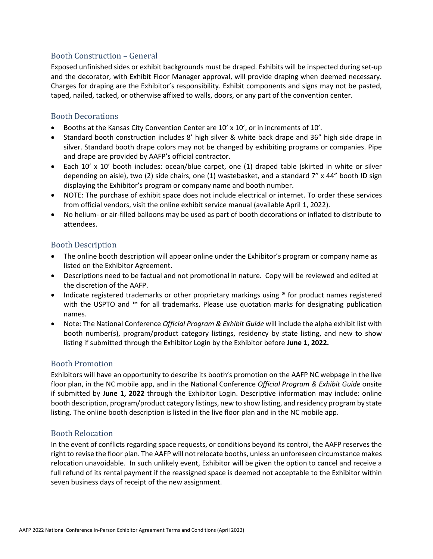#### <span id="page-4-0"></span>Booth Construction – General

Exposed unfinished sides or exhibit backgrounds must be draped. Exhibits will be inspected during set-up and the decorator, with Exhibit Floor Manager approval, will provide draping when deemed necessary. Charges for draping are the Exhibitor's responsibility. Exhibit components and signs may not be pasted, taped, nailed, tacked, or otherwise affixed to walls, doors, or any part of the convention center.

#### <span id="page-4-1"></span>Booth Decorations

- Booths at the Kansas City Convention Center are 10' x 10', or in increments of 10'.
- Standard booth construction includes 8' high silver & white back drape and 36" high side drape in silver. Standard booth drape colors may not be changed by exhibiting programs or companies. Pipe and drape are provided by AAFP's official contractor.
- Each 10' x 10' booth includes: ocean/blue carpet, one (1) draped table (skirted in white or silver depending on aisle), two (2) side chairs, one (1) wastebasket, and a standard 7" x 44" booth ID sign displaying the Exhibitor's program or company name and booth number.
- NOTE: The purchase of exhibit space does not include electrical or internet. To order these services from official vendors, visit the online exhibit service manual (available April 1, 2022).
- No helium- or air-filled balloons may be used as part of booth decorations or inflated to distribute to attendees.

#### <span id="page-4-2"></span>Booth Description

- The online booth description will appear online under the Exhibitor's program or company name as listed on the Exhibitor Agreement.
- Descriptions need to be factual and not promotional in nature. Copy will be reviewed and edited at the discretion of the AAFP.
- Indicate registered trademarks or other proprietary markings using <sup>®</sup> for product names registered with the USPTO and ™ for all trademarks. Please use quotation marks for designating publication names.
- Note: The National Conference *Official Program & Exhibit Guide* will include the alpha exhibit list with booth number(s), program/product category listings, residency by state listing, and new to show listing if submitted through the Exhibitor Login by the Exhibitor before **June 1, 2022.**

#### <span id="page-4-3"></span>Booth Promotion

Exhibitors will have an opportunity to describe its booth's promotion on the AAFP NC webpage in the live floor plan, in the NC mobile app, and in the National Conference *Official Program & Exhibit Guide* onsite if submitted by **June 1, 2022** through the Exhibitor Login. Descriptive information may include: online booth description, program/product category listings, new to show listing, and residency program by state listing. The online booth description is listed in the live floor plan and in the NC mobile app.

#### <span id="page-4-4"></span>Booth Relocation

In the event of conflicts regarding space requests, or conditions beyond its control, the AAFP reserves the right to revise the floor plan. The AAFP will not relocate booths, unless an unforeseen circumstance makes relocation unavoidable. In such unlikely event, Exhibitor will be given the option to cancel and receive a full refund of its rental payment if the reassigned space is deemed not acceptable to the Exhibitor within seven business days of receipt of the new assignment.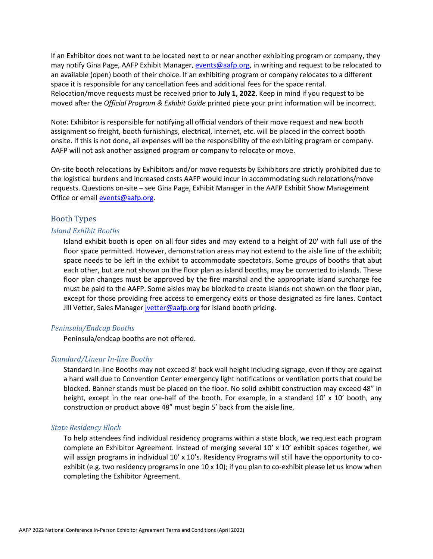If an Exhibitor does not want to be located next to or near another exhibiting program or company, they may notify Gina Page, AAFP Exhibit Manager, [events@aafp.org,](mailto:events@aafp.org) in writing and request to be relocated to an available (open) booth of their choice. If an exhibiting program or company relocates to a different space it is responsible for any cancellation fees and additional fees for the space rental. Relocation/move requests must be received prior to **July 1, 2022**. Keep in mind if you request to be moved after the *Official Program & Exhibit Guide* printed piece your print information will be incorrect.

Note: Exhibitor is responsible for notifying all official vendors of their move request and new booth assignment so freight, booth furnishings, electrical, internet, etc. will be placed in the correct booth onsite. If this is not done, all expenses will be the responsibility of the exhibiting program or company. AAFP will not ask another assigned program or company to relocate or move.

On-site booth relocations by Exhibitors and/or move requests by Exhibitors are strictly prohibited due to the logistical burdens and increased costs AAFP would incur in accommodating such relocations/move requests. Questions on-site – see Gina Page, Exhibit Manager in the AAFP Exhibit Show Management Office or email [events@aafp.org.](mailto:events@aafp.org)

#### <span id="page-5-0"></span>Booth Types

#### <span id="page-5-1"></span>*Island Exhibit Booths*

Island exhibit booth is open on all four sides and may extend to a height of 20' with full use of the floor space permitted. However, demonstration areas may not extend to the aisle line of the exhibit; space needs to be left in the exhibit to accommodate spectators. Some groups of booths that abut each other, but are not shown on the floor plan as island booths, may be converted to islands. These floor plan changes must be approved by the fire marshal and the appropriate island surcharge fee must be paid to the AAFP. Some aisles may be blocked to create islands not shown on the floor plan, except for those providing free access to emergency exits or those designated as fire lanes. Contact Jill Vetter, Sales Manager [jvetter@aafp.org](mailto:jvetter@aafp.org) for island booth pricing.

#### <span id="page-5-2"></span>*Peninsula/Endcap Booths*

Peninsula/endcap booths are not offered.

#### <span id="page-5-3"></span>*Standard/Linear In-line Booths*

Standard In-line Booths may not exceed 8' back wall height including signage, even if they are against a hard wall due to Convention Center emergency light notifications or ventilation ports that could be blocked. Banner stands must be placed on the floor. No solid exhibit construction may exceed 48" in height, except in the rear one-half of the booth. For example, in a standard  $10' \times 10'$  booth, any construction or product above 48" must begin 5' back from the aisle line.

#### <span id="page-5-4"></span>*State Residency Block*

To help attendees find individual residency programs within a state block, we request each program complete an Exhibitor Agreement. Instead of merging several 10' x 10' exhibit spaces together, we will assign programs in individual 10' x 10's. Residency Programs will still have the opportunity to coexhibit (e.g. two residency programs in one  $10 \times 10$ ); if you plan to co-exhibit please let us know when completing the Exhibitor Agreement.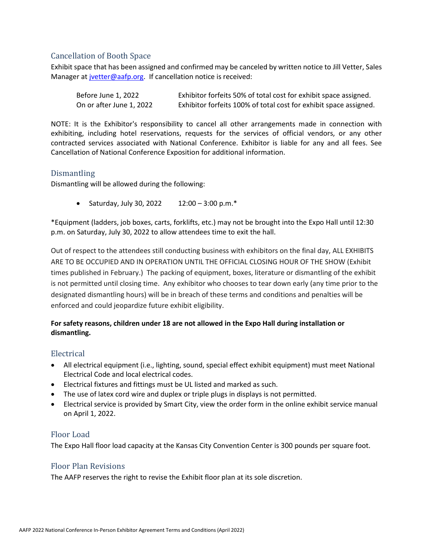#### <span id="page-6-0"></span>Cancellation of Booth Space

Exhibit space that has been assigned and confirmed may be canceled by written notice to Jill Vetter, Sales Manager at [jvetter@aafp.org.](mailto:jvetter@aafp.org) If cancellation notice is received:

| Before June 1, 2022      | Exhibitor forfeits 50% of total cost for exhibit space assigned.  |
|--------------------------|-------------------------------------------------------------------|
| On or after June 1, 2022 | Exhibitor forfeits 100% of total cost for exhibit space assigned. |

NOTE: It is the Exhibitor's responsibility to cancel all other arrangements made in connection with exhibiting, including hotel reservations, requests for the services of official vendors, or any other contracted services associated with National Conference. Exhibitor is liable for any and all fees. See Cancellation of National Conference Exposition for additional information.

#### <span id="page-6-1"></span>**Dismantling**

Dismantling will be allowed during the following:

• Saturday, July 30, 2022  $12:00 - 3:00 \text{ p.m.}^*$ 

\*Equipment (ladders, job boxes, carts, forklifts, etc.) may not be brought into the Expo Hall until 12:30 p.m. on Saturday, July 30, 2022 to allow attendees time to exit the hall.

Out of respect to the attendees still conducting business with exhibitors on the final day, ALL EXHIBITS ARE TO BE OCCUPIED AND IN OPERATION UNTIL THE OFFICIAL CLOSING HOUR OF THE SHOW (Exhibit times published in February.) The packing of equipment, boxes, literature or dismantling of the exhibit is not permitted until closing time. Any exhibitor who chooses to tear down early (any time prior to the designated dismantling hours) will be in breach of these terms and conditions and penalties will be enforced and could jeopardize future exhibit eligibility.

#### **For safety reasons, children under 18 are not allowed in the Expo Hall during installation or dismantling.**

#### <span id="page-6-2"></span>Electrical

- All electrical equipment (i.e., lighting, sound, special effect exhibit equipment) must meet National Electrical Code and local electrical codes.
- Electrical fixtures and fittings must be UL listed and marked as such.
- The use of latex cord wire and duplex or triple plugs in displays is not permitted.
- Electrical service is provided by Smart City, view the order form in the online exhibit service manual on April 1, 2022.

#### <span id="page-6-3"></span>Floor Load

The Expo Hall floor load capacity at the Kansas City Convention Center is 300 pounds per square foot.

#### <span id="page-6-4"></span>Floor Plan Revisions

The AAFP reserves the right to revise the Exhibit floor plan at its sole discretion.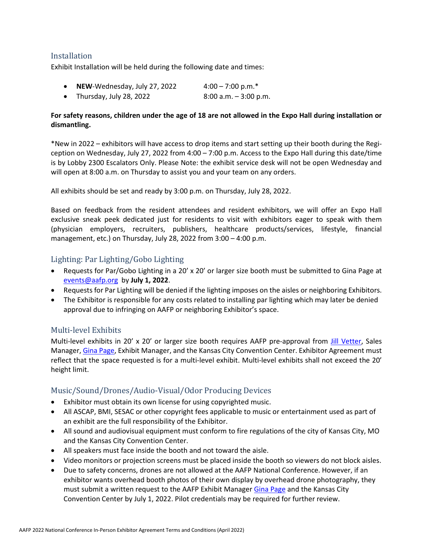#### <span id="page-7-0"></span>Installation

Exhibit Installation will be held during the following date and times:

• **NEW**-Wednesday, July 27, 2022  $4:00 - 7:00 \text{ p.m.}^*$ • Thursday, July 28, 2022 8:00 a.m.  $-3:00$  p.m.

#### **For safety reasons, children under the age of 18 are not allowed in the Expo Hall during installation or dismantling.**

\*New in 2022 – exhibitors will have access to drop items and start setting up their booth during the Regiception on Wednesday, July 27, 2022 from 4:00 – 7:00 p.m. Access to the Expo Hall during this date/time is by Lobby 2300 Escalators Only. Please Note: the exhibit service desk will not be open Wednesday and will open at 8:00 a.m. on Thursday to assist you and your team on any orders.

All exhibits should be set and ready by 3:00 p.m. on Thursday, July 28, 2022.

Based on feedback from the resident attendees and resident exhibitors, we will offer an Expo Hall exclusive sneak peek dedicated just for residents to visit with exhibitors eager to speak with them (physician employers, recruiters, publishers, healthcare products/services, lifestyle, financial management, etc.) on Thursday, July 28, 2022 from 3:00 – 4:00 p.m.

#### <span id="page-7-1"></span>Lighting: Par Lighting/Gobo Lighting

- Requests for Par/Gobo Lighting in a 20' x 20' or larger size booth must be submitted to Gina Page at [events@aafp.org](mailto:events@aafp.org) by **July 1, 2022**.
- Requests for Par Lighting will be denied if the lighting imposes on the aisles or neighboring Exhibitors.
- The Exhibitor is responsible for any costs related to installing par lighting which may later be denied approval due to infringing on AAFP or neighboring Exhibitor's space.

#### <span id="page-7-2"></span>Multi-level Exhibits

Multi-level exhibits in 20' x 20' or larger size booth requires AAFP pre-approval from [Jill Vetter,](mailto:jvetter@aafp.org) Sales Manager[, Gina Page,](mailto:events@aafp.org) Exhibit Manager, and the Kansas City Convention Center. Exhibitor Agreement must reflect that the space requested is for a multi-level exhibit. Multi-level exhibits shall not exceed the 20' height limit.

#### <span id="page-7-3"></span>Music/Sound/Drones/Audio-Visual/Odor Producing Devices

- Exhibitor must obtain its own license for using copyrighted music.
- All ASCAP, BMI, SESAC or other copyright fees applicable to music or entertainment used as part of an exhibit are the full responsibility of the Exhibitor.
- All sound and audiovisual equipment must conform to fire regulations of the city of Kansas City, MO and the Kansas City Convention Center.
- All speakers must face inside the booth and not toward the aisle.
- Video monitors or projection screens must be placed inside the booth so viewers do not block aisles.
- Due to safety concerns, drones are not allowed at the AAFP National Conference. However, if an exhibitor wants overhead booth photos of their own display by overhead drone photography, they must submit a written request to the AAFP Exhibit Manager [Gina Page](mailto:events@aafp.org) and the Kansas City Convention Center by July 1, 2022. Pilot credentials may be required for further review.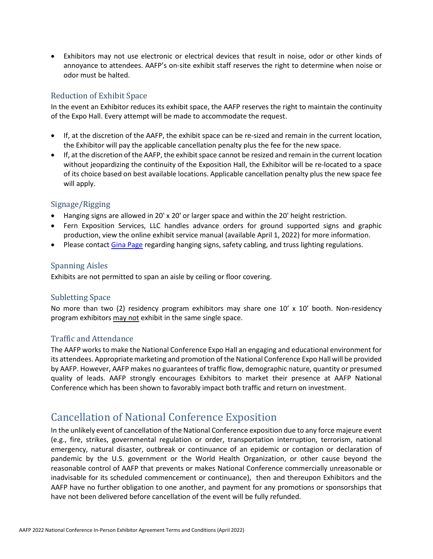• Exhibitors may not use electronic or electrical devices that result in noise, odor or other kinds of annoyance to attendees. AAFP's on-site exhibit staff reserves the right to determine when noise or odor must be halted.

#### <span id="page-8-0"></span>Reduction of Exhibit Space

In the event an Exhibitor reduces its exhibit space, the AAFP reserves the right to maintain the continuity of the Expo Hall. Every attempt will be made to accommodate the request.

- If, at the discretion of the AAFP, the exhibit space can be re-sized and remain in the current location, the Exhibitor will pay the applicable cancellation penalty plus the fee for the new space.
- If, at the discretion of the AAFP, the exhibit space cannot be resized and remain in the current location without jeopardizing the continuity of the Exposition Hall, the Exhibitor will be re-located to a space of its choice based on best available locations. Applicable cancellation penalty plus the new space fee will apply.

#### <span id="page-8-1"></span>Signage/Rigging

- Hanging signs are allowed in 20' x 20' or larger space and within the 20' height restriction.
- Fern Exposition Services, LLC handles advance orders for ground supported signs and graphic production, view the online exhibit service manual (available April 1, 2022) for more information.
- Please contact [Gina Page](mailto:events@aafp.org) regarding hanging signs, safety cabling, and truss lighting regulations.

#### <span id="page-8-2"></span>Spanning Aisles

Exhibits are not permitted to span an aisle by ceiling or floor covering.

#### <span id="page-8-3"></span>Subletting Space

No more than two (2) residency program exhibitors may share one  $10' \times 10'$  booth. Non-residency program exhibitors may not exhibit in the same single space.

#### <span id="page-8-4"></span>Traffic and Attendance

The AAFP works to make the National Conference Expo Hall an engaging and educational environment for its attendees. Appropriate marketing and promotion of the National Conference Expo Hall will be provided by AAFP. However, AAFP makes no guarantees of traffic flow, demographic nature, quantity or presumed quality of leads. AAFP strongly encourages Exhibitors to market their presence at AAFP National Conference which has been shown to favorably impact both traffic and return on investment.

### <span id="page-8-5"></span>Cancellation of National Conference Exposition

In the unlikely event of cancellation of the National Conference exposition due to any force majeure event (e.g., fire, strikes, governmental regulation or order, transportation interruption, terrorism, national emergency, natural disaster, outbreak or continuance of an epidemic or contagion or declaration of pandemic by the U.S. government or the World Health Organization, or other cause beyond the reasonable control of AAFP that prevents or makes National Conference commercially unreasonable or inadvisable for its scheduled commencement or continuance), then and thereupon Exhibitors and the AAFP have no further obligation to one another, and payment for any promotions or sponsorships that have not been delivered before cancellation of the event will be fully refunded.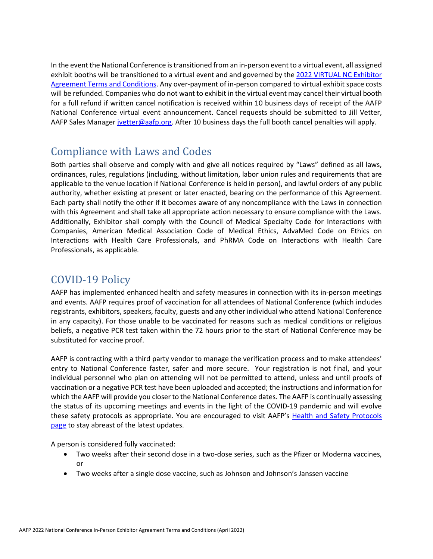In the event the National Conference is transitioned from an in-person event to a virtual event, all assigned exhibit booths will be transitioned to a virtual event and and governed by the [2022 VIRTUAL NC Exhibitor](https://www.aafp.org/dam/AAFP/documents/events/nc/2022/agreements/virtual-exhibitor-agreement-terms-and-conditions.pdf)  [Agreement Terms and Conditions.](https://www.aafp.org/dam/AAFP/documents/events/nc/2022/agreements/virtual-exhibitor-agreement-terms-and-conditions.pdf) Any over-payment of in-person compared to virtual exhibit space costs will be refunded. Companies who do not want to exhibit in the virtual event may cancel their virtual booth for a full refund if written cancel notification is received within 10 business days of receipt of the AAFP National Conference virtual event announcement. Cancel requests should be submitted to Jill Vetter, AAFP Sales Manager [jvetter@aafp.org.](mailto:jvetter@aafp.org) After 10 business days the full booth cancel penalties will apply.

## Compliance with Laws and Codes

Both parties shall observe and comply with and give all notices required by "Laws" defined as all laws, ordinances, rules, regulations (including, without limitation, labor union rules and requirements that are applicable to the venue location if National Conference is held in person), and lawful orders of any public authority, whether existing at present or later enacted, bearing on the performance of this Agreement. Each party shall notify the other if it becomes aware of any noncompliance with the Laws in connection with this Agreement and shall take all appropriate action necessary to ensure compliance with the Laws. Additionally, Exhibitor shall comply with the Council of Medical Specialty Code for Interactions with Companies, American Medical Association Code of Medical Ethics, AdvaMed Code on Ethics on Interactions with Health Care Professionals, and PhRMA Code on Interactions with Health Care Professionals, as applicable.

### COVID-19 Policy

AAFP has implemented enhanced health and safety measures in connection with its in-person meetings and events. AAFP requires proof of vaccination for all attendees of National Conference (which includes registrants, exhibitors, speakers, faculty, guests and any other individual who attend National Conference in any capacity). For those unable to be vaccinated for reasons such as medical conditions or religious beliefs, a negative PCR test taken within the 72 hours prior to the start of National Conference may be substituted for vaccine proof.

AAFP is contracting with a third party vendor to manage the verification process and to make attendees' entry to National Conference faster, safer and more secure. Your registration is not final, and your individual personnel who plan on attending will not be permitted to attend, unless and until proofs of vaccination or a negative PCR test have been uploaded and accepted; the instructions and information for which the AAFP will provide you closer to the National Conference dates. The AAFP is continually assessing the status of its upcoming meetings and events in the light of the COVID-19 pandemic and will evolve these safety protocols as appropriate. You are encouraged to visit AAFP's [Health and Safety Protocols](https://www.aafp.org/events/safety-protocols.html)  [page](https://www.aafp.org/events/safety-protocols.html) to stay abreast of the latest updates.

A person is considered fully vaccinated:

- Two weeks after their second dose in a two-dose series, such as the Pfizer or Moderna vaccines, or
- Two weeks after a single dose vaccine, such as Johnson and Johnson's Janssen vaccine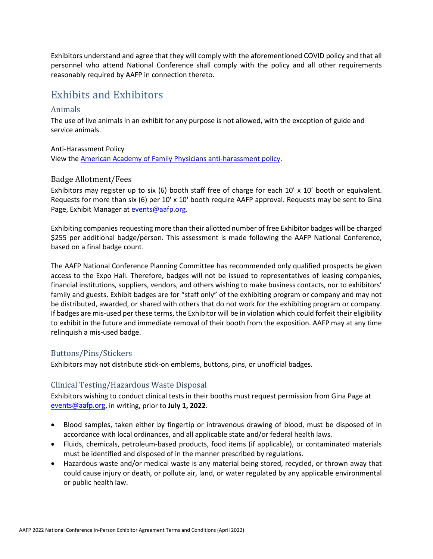Exhibitors understand and agree that they will comply with the aforementioned COVID policy and that all personnel who attend National Conference shall comply with the policy and all other requirements reasonably required by AAFP in connection thereto.

### <span id="page-10-0"></span>Exhibits and Exhibitors

#### <span id="page-10-1"></span>Animals

The use of live animals in an exhibit for any purpose is not allowed, with the exception of guide and service animals.

Anti-Harassment Policy

View the [American Academy of Family Physicians anti-harassment policy.](https://www.aafp.org/about/policies/all/anti-harassment.html)

#### <span id="page-10-2"></span>Badge Allotment/Fees

Exhibitors may register up to six (6) booth staff free of charge for each 10' x 10' booth or equivalent. Requests for more than six (6) per 10' x 10' booth require AAFP approval. Requests may be sent to Gina Page, Exhibit Manager at [events@aafp.org.](mailto:events@aafp.org)

Exhibiting companies requesting more than their allotted number of free Exhibitor badges will be charged \$255 per additional badge/person. This assessment is made following the AAFP National Conference, based on a final badge count.

The AAFP National Conference Planning Committee has recommended only qualified prospects be given access to the Expo Hall. Therefore, badges will not be issued to representatives of leasing companies, financial institutions, suppliers, vendors, and others wishing to make business contacts, nor to exhibitors' family and guests. Exhibit badges are for "staff only" of the exhibiting program or company and may not be distributed, awarded, or shared with others that do not work for the exhibiting program or company. If badges are mis-used per these terms, the Exhibitor will be in violation which could forfeit their eligibility to exhibit in the future and immediate removal of their booth from the exposition. AAFP may at any time relinquish a mis-used badge.

#### <span id="page-10-3"></span>Buttons/Pins/Stickers

Exhibitors may not distribute stick-on emblems, buttons, pins, or unofficial badges.

#### <span id="page-10-4"></span>Clinical Testing/Hazardous Waste Disposal

Exhibitors wishing to conduct clinical tests in their booths must request permission from Gina Page at [events@aafp.org,](mailto:events@aafp.org) in writing, prior to **July 1, 2022**.

- Blood samples, taken either by fingertip or intravenous drawing of blood, must be disposed of in accordance with local ordinances, and all applicable state and/or federal health laws.
- Fluids, chemicals, petroleum-based products, food items (if applicable), or contaminated materials must be identified and disposed of in the manner prescribed by regulations.
- Hazardous waste and/or medical waste is any material being stored, recycled, or thrown away that could cause injury or death, or pollute air, land, or water regulated by any applicable environmental or public health law.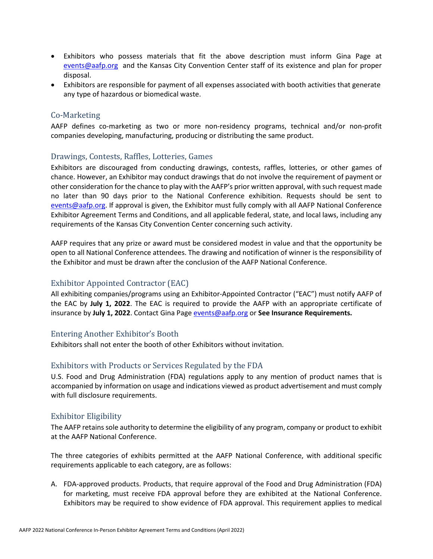- Exhibitors who possess materials that fit the above description must inform Gina Page at [events@aafp.org](mailto:events@aafp.org) and the Kansas City Convention Center staff of its existence and plan for proper disposal.
- Exhibitors are responsible for payment of all expenses associated with booth activities that generate any type of hazardous or biomedical waste.

#### <span id="page-11-0"></span>Co-Marketing

AAFP defines co-marketing as two or more non-residency programs, technical and/or non-profit companies developing, manufacturing, producing or distributing the same product.

#### <span id="page-11-1"></span>Drawings, Contests, Raffles, Lotteries, Games

Exhibitors are discouraged from conducting drawings, contests, raffles, lotteries, or other games of chance. However, an Exhibitor may conduct drawings that do not involve the requirement of payment or other consideration for the chance to play with the AAFP's prior written approval, with such request made no later than 90 days prior to the National Conference exhibition. Requests should be sent to [events@aafp.org.](mailto:events@aafp.org) If approval is given, the Exhibitor must fully comply with all AAFP National Conference Exhibitor Agreement Terms and Conditions, and all applicable federal, state, and local laws, including any requirements of the Kansas City Convention Center concerning such activity.

AAFP requires that any prize or award must be considered modest in value and that the opportunity be open to all National Conference attendees. The drawing and notification of winner is the responsibility of the Exhibitor and must be drawn after the conclusion of the AAFP National Conference.

#### <span id="page-11-2"></span>Exhibitor Appointed Contractor (EAC)

All exhibiting companies/programs using an Exhibitor-Appointed Contractor ("EAC") must notify AAFP of the EAC by **July 1, 2022**. The EAC is required to provide the AAFP with an appropriate certificate of insurance by **July 1, 2022**. Contact Gina Page [events@aafp.org](mailto:events@aafp.org) or **See Insurance Requirements.**

#### <span id="page-11-3"></span>Entering Another Exhibitor's Booth

Exhibitors shall not enter the booth of other Exhibitors without invitation.

#### <span id="page-11-4"></span>Exhibitors with Products or Services Regulated by the FDA

U.S. Food and Drug Administration (FDA) regulations apply to any mention of product names that is accompanied by information on usage and indications viewed as product advertisement and must comply with full disclosure requirements.

#### <span id="page-11-5"></span>Exhibitor Eligibility

The AAFP retains sole authority to determine the eligibility of any program, company or product to exhibit at the AAFP National Conference.

The three categories of exhibits permitted at the AAFP National Conference, with additional specific requirements applicable to each category, are as follows:

A. FDA-approved products. Products, that require approval of the Food and Drug Administration (FDA) for marketing, must receive FDA approval before they are exhibited at the National Conference. Exhibitors may be required to show evidence of FDA approval. This requirement applies to medical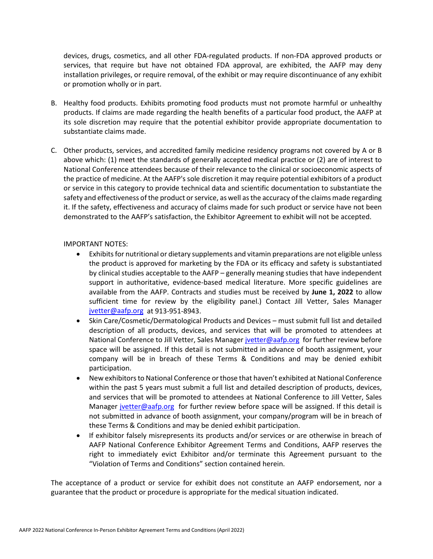devices, drugs, cosmetics, and all other FDA-regulated products. If non-FDA approved products or services, that require but have not obtained FDA approval, are exhibited, the AAFP may deny installation privileges, or require removal, of the exhibit or may require discontinuance of any exhibit or promotion wholly or in part.

- B. Healthy food products. Exhibits promoting food products must not promote harmful or unhealthy products. If claims are made regarding the health benefits of a particular food product, the AAFP at its sole discretion may require that the potential exhibitor provide appropriate documentation to substantiate claims made.
- C. Other products, services, and accredited family medicine residency programs not covered by A or B above which: (1) meet the standards of generally accepted medical practice or (2) are of interest to National Conference attendees because of their relevance to the clinical or socioeconomic aspects of the practice of medicine. At the AAFP's sole discretion it may require potential exhibitors of a product or service in this category to provide technical data and scientific documentation to substantiate the safety and effectiveness of the product or service, as well as the accuracy of the claims made regarding it. If the safety, effectiveness and accuracy of claims made for such product or service have not been demonstrated to the AAFP's satisfaction, the Exhibitor Agreement to exhibit will not be accepted.

#### IMPORTANT NOTES:

- Exhibits for nutritional or dietary supplements and vitamin preparations are not eligible unless the product is approved for marketing by the FDA or its efficacy and safety is substantiated by clinical studies acceptable to the AAFP – generally meaning studies that have independent support in authoritative, evidence-based medical literature. More specific guidelines are available from the AAFP. Contracts and studies must be received by **June 1, 2022** to allow sufficient time for review by the eligibility panel.) Contact Jill Vetter, Sales Manager [jvetter@aafp.org](mailto:jvetter@aafp.org) at 913-951-8943.
- Skin Care/Cosmetic/Dermatological Products and Devices must submit full list and detailed description of all products, devices, and services that will be promoted to attendees at National Conference to Jill Vetter, Sales Manage[r jvetter@aafp.org](mailto:jvetter@aafp.org) for further review before space will be assigned. If this detail is not submitted in advance of booth assignment, your company will be in breach of these Terms & Conditions and may be denied exhibit participation.
- New exhibitors to National Conference or those that haven't exhibited at National Conference within the past 5 years must submit a full list and detailed description of products, devices, and services that will be promoted to attendees at National Conference to Jill Vetter, Sales Manager [jvetter@aafp.org](mailto:jvetter@aafp.org) for further review before space will be assigned. If this detail is not submitted in advance of booth assignment, your company/program will be in breach of these Terms & Conditions and may be denied exhibit participation.
- If exhibitor falsely misrepresents its products and/or services or are otherwise in breach of AAFP National Conference Exhibitor Agreement Terms and Conditions, AAFP reserves the right to immediately evict Exhibitor and/or terminate this Agreement pursuant to the "Violation of Terms and Conditions" section contained herein.

The acceptance of a product or service for exhibit does not constitute an AAFP endorsement, nor a guarantee that the product or procedure is appropriate for the medical situation indicated.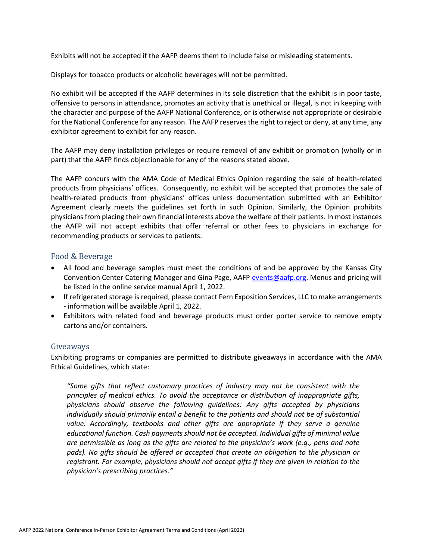Exhibits will not be accepted if the AAFP deems them to include false or misleading statements.

Displays for tobacco products or alcoholic beverages will not be permitted.

No exhibit will be accepted if the AAFP determines in its sole discretion that the exhibit is in poor taste, offensive to persons in attendance, promotes an activity that is unethical or illegal, is not in keeping with the character and purpose of the AAFP National Conference, or is otherwise not appropriate or desirable for the National Conference for any reason. The AAFP reserves the right to reject or deny, at any time, any exhibitor agreement to exhibit for any reason.

The AAFP may deny installation privileges or require removal of any exhibit or promotion (wholly or in part) that the AAFP finds objectionable for any of the reasons stated above.

The AAFP concurs with the AMA Code of Medical Ethics Opinion regarding the sale of health-related products from physicians' offices. Consequently, no exhibit will be accepted that promotes the sale of health-related products from physicians' offices unless documentation submitted with an Exhibitor Agreement clearly meets the guidelines set forth in such Opinion. Similarly, the Opinion prohibits physicians from placing their own financial interests above the welfare of their patients. In most instances the AAFP will not accept exhibits that offer referral or other fees to physicians in exchange for recommending products or services to patients.

#### <span id="page-13-0"></span>Food & Beverage

- All food and beverage samples must meet the conditions of and be approved by the Kansas City Convention Center Catering Manager and Gina Page, AAFP [events@aafp.org.](mailto:events@aafp.org) Menus and pricing will be listed in the online service manual April 1, 2022.
- If refrigerated storage is required, please contact Fern Exposition Services, LLC to make arrangements - information will be available April 1, 2022.
- Exhibitors with related food and beverage products must order porter service to remove empty cartons and/or containers.

#### <span id="page-13-1"></span>Giveaways

Exhibiting programs or companies are permitted to distribute giveaways in accordance with the AMA Ethical Guidelines, which state:

*"Some gifts that reflect customary practices of industry may not be consistent with the principles of medical ethics. To avoid the acceptance or distribution of inappropriate gifts, physicians should observe the following guidelines: Any gifts accepted by physicians individually should primarily entail a benefit to the patients and should not be of substantial value. Accordingly, textbooks and other gifts are appropriate if they serve a genuine educational function. Cash payments should not be accepted. Individual gifts of minimal value are permissible as long as the gifts are related to the physician's work (e.g., pens and note pads). No gifts should be offered or accepted that create an obligation to the physician or registrant. For example, physicians should not accept gifts if they are given in relation to the physician's prescribing practices."*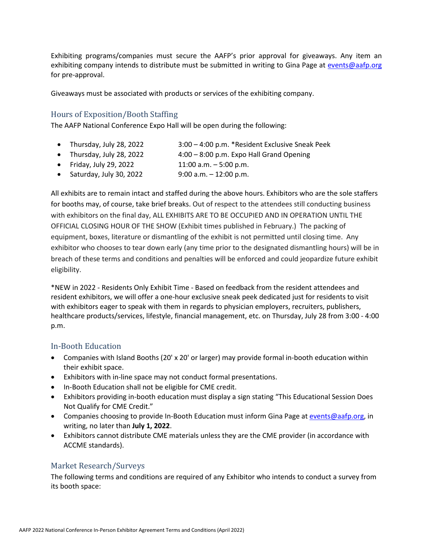Exhibiting programs/companies must secure the AAFP's prior approval for giveaways. Any item an exhibiting company intends to distribute must be submitted in writing to Gina Page at [events@aafp.org](mailto:events@aafp.org) for pre-approval.

Giveaways must be associated with products or services of the exhibiting company.

#### <span id="page-14-0"></span>Hours of Exposition/Booth Staffing

The AAFP National Conference Expo Hall will be open during the following:

- Thursday, July 28, 2022 3:00 4:00 p.m. \*Resident Exclusive Sneak Peek
- Thursday, July 28, 2022 4:00 8:00 p.m. Expo Hall Grand Opening
- Friday, July 29, 2022 11:00 a.m.  $-5:00$  p.m.
- Saturday, July 30, 2022 9:00 a.m. 12:00 p.m.

All exhibits are to remain intact and staffed during the above hours. Exhibitors who are the sole staffers for booths may, of course, take brief breaks. Out of respect to the attendees still conducting business with exhibitors on the final day, ALL EXHIBITS ARE TO BE OCCUPIED AND IN OPERATION UNTIL THE OFFICIAL CLOSING HOUR OF THE SHOW (Exhibit times published in February.) The packing of equipment, boxes, literature or dismantling of the exhibit is not permitted until closing time. Any exhibitor who chooses to tear down early (any time prior to the designated dismantling hours) will be in breach of these terms and conditions and penalties will be enforced and could jeopardize future exhibit eligibility.

\*NEW in 2022 - Residents Only Exhibit Time - Based on feedback from the resident attendees and resident exhibitors, we will offer a one-hour exclusive sneak peek dedicated just for residents to visit with exhibitors eager to speak with them in regards to physician employers, recruiters, publishers, healthcare products/services, lifestyle, financial management, etc. on Thursday, July 28 from 3:00 - 4:00 p.m.

#### <span id="page-14-1"></span>In-Booth Education

- Companies with Island Booths (20' x 20' or larger) may provide formal in-booth education within their exhibit space.
- Exhibitors with in-line space may not conduct formal presentations.
- In-Booth Education shall not be eligible for CME credit.
- Exhibitors providing in-booth education must display a sign stating "This Educational Session Does Not Qualify for CME Credit."
- Companies choosing to provide In-Booth Education must inform Gina Page a[t events@aafp.org,](mailto:events@aafp.org) in writing, no later than **July 1, 2022**.
- Exhibitors cannot distribute CME materials unless they are the CME provider (in accordance with ACCME standards).

#### <span id="page-14-2"></span>Market Research/Surveys

The following terms and conditions are required of any Exhibitor who intends to conduct a survey from its booth space: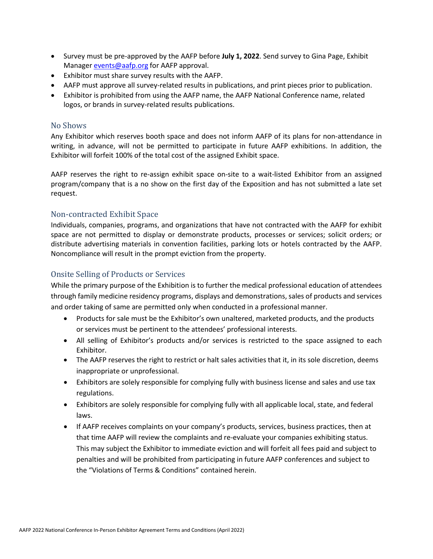- Survey must be pre-approved by the AAFP before **July 1, 2022**. Send survey to Gina Page, Exhibit Manager **[events@aafp.org](mailto:events@aafp.org)** for AAFP approval.
- Exhibitor must share survey results with the AAFP.
- AAFP must approve all survey-related results in publications, and print pieces prior to publication.
- Exhibitor is prohibited from using the AAFP name, the AAFP National Conference name, related logos, or brands in survey-related results publications.

#### <span id="page-15-0"></span>No Shows

Any Exhibitor which reserves booth space and does not inform AAFP of its plans for non-attendance in writing, in advance, will not be permitted to participate in future AAFP exhibitions. In addition, the Exhibitor will forfeit 100% of the total cost of the assigned Exhibit space.

AAFP reserves the right to re-assign exhibit space on-site to a wait-listed Exhibitor from an assigned program/company that is a no show on the first day of the Exposition and has not submitted a late set request.

#### <span id="page-15-1"></span>Non-contracted Exhibit Space

Individuals, companies, programs, and organizations that have not contracted with the AAFP for exhibit space are not permitted to display or demonstrate products, processes or services; solicit orders; or distribute advertising materials in convention facilities, parking lots or hotels contracted by the AAFP. Noncompliance will result in the prompt eviction from the property.

#### <span id="page-15-2"></span>Onsite Selling of Products or Services

While the primary purpose of the Exhibition is to further the medical professional education of attendees through family medicine residency programs, displays and demonstrations, sales of products and services and order taking of same are permitted only when conducted in a professional manner.

- Products for sale must be the Exhibitor's own unaltered, marketed products, and the products or services must be pertinent to the attendees' professional interests.
- All selling of Exhibitor's products and/or services is restricted to the space assigned to each Exhibitor.
- The AAFP reserves the right to restrict or halt sales activities that it, in its sole discretion, deems inappropriate or unprofessional.
- Exhibitors are solely responsible for complying fully with business license and sales and use tax regulations.
- Exhibitors are solely responsible for complying fully with all applicable local, state, and federal laws.
- If AAFP receives complaints on your company's products, services, business practices, then at that time AAFP will review the complaints and re-evaluate your companies exhibiting status. This may subject the Exhibitor to immediate eviction and will forfeit all fees paid and subject to penalties and will be prohibited from participating in future AAFP conferences and subject to the "Violations of Terms & Conditions" contained herein.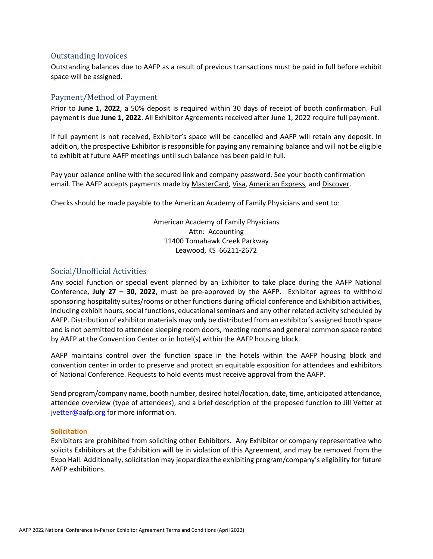#### <span id="page-16-0"></span>Outstanding Invoices

Outstanding balances due to AAFP as a result of previous transactions must be paid in full before exhibit space will be assigned.

#### <span id="page-16-1"></span>Payment/Method of Payment

Prior to **June 1, 2022**, a 50% deposit is required within 30 days of receipt of booth confirmation. Full payment is due **June 1, 2022**. All Exhibitor Agreements received after June 1, 2022 require full payment.

If full payment is not received, Exhibitor's space will be cancelled and AAFP will retain any deposit. In addition, the prospective Exhibitor is responsible for paying any remaining balance and will not be eligible to exhibit at future AAFP meetings until such balance has been paid in full.

Pay your balance online with the secured link and company password. See your booth confirmation email. The AAFP accepts payments made by MasterCard, Visa, American Express, and Discover.

Checks should be made payable to the American Academy of Family Physicians and sent to:

American Academy of Family Physicians Attn: Accounting 11400 Tomahawk Creek Parkway Leawood, KS 66211-2672

#### <span id="page-16-2"></span>Social/Unofficial Activities

Any social function or special event planned by an Exhibitor to take place during the AAFP National Conference, **July 27 – 30, 2022**, must be pre-approved by the AAFP. Exhibitor agrees to withhold sponsoring hospitality suites/rooms or other functions during official conference and Exhibition activities, including exhibit hours, social functions, educational seminars and any other related activity scheduled by AAFP. Distribution of exhibitor materials may only be distributed from an exhibitor's assigned booth space and is not permitted to attendee sleeping room doors, meeting rooms and general common space rented by AAFP at the Convention Center or in hotel(s) within the AAFP housing block.

AAFP maintains control over the function space in the hotels within the AAFP housing block and convention center in order to preserve and protect an equitable exposition for attendees and exhibitors of National Conference. Requests to hold events must receive approval from the AAFP.

Send program/company name, booth number, desired hotel/location, date, time, anticipated attendance, attendee overview (type of attendees), and a brief description of the proposed function to Jill Vetter at [jvetter@aafp.org](mailto:jvetter@aafp.org) for more information.

#### **Solicitation**

Exhibitors are prohibited from soliciting other Exhibitors. Any Exhibitor or company representative who solicits Exhibitors at the Exhibition will be in violation of this Agreement, and may be removed from the Expo Hall. Additionally, solicitation may jeopardize the exhibiting program/company's eligibility for future AAFP exhibitions.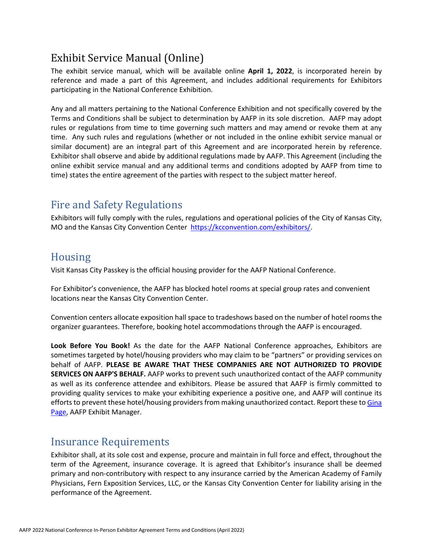# <span id="page-17-0"></span>Exhibit Service Manual (Online)

The exhibit service manual, which will be available online **April 1, 2022**, is incorporated herein by reference and made a part of this Agreement, and includes additional requirements for Exhibitors participating in the National Conference Exhibition.

Any and all matters pertaining to the National Conference Exhibition and not specifically covered by the Terms and Conditions shall be subject to determination by AAFP in its sole discretion. AAFP may adopt rules or regulations from time to time governing such matters and may amend or revoke them at any time. Any such rules and regulations (whether or not included in the online exhibit service manual or similar document) are an integral part of this Agreement and are incorporated herein by reference. Exhibitor shall observe and abide by additional regulations made by AAFP. This Agreement (including the online exhibit service manual and any additional terms and conditions adopted by AAFP from time to time) states the entire agreement of the parties with respect to the subject matter hereof.

## <span id="page-17-1"></span>Fire and Safety Regulations

Exhibitors will fully comply with the rules, regulations and operational policies of the City of Kansas City, MO and the Kansas City Convention Center [https://kcconvention.com/exhibitors/.](https://kcconvention.com/exhibitors/)

### <span id="page-17-2"></span>Housing

Visit Kansas City Passkey is the official housing provider for the AAFP National Conference.

For Exhibitor's convenience, the AAFP has blocked hotel rooms at special group rates and convenient locations near the Kansas City Convention Center.

Convention centers allocate exposition hall space to tradeshows based on the number of hotel rooms the organizer guarantees. Therefore, booking hotel accommodations through the AAFP is encouraged.

**Look Before You Book!** As the date for the AAFP National Conference approaches, Exhibitors are sometimes targeted by hotel/housing providers who may claim to be "partners" or providing services on behalf of AAFP. **PLEASE BE AWARE THAT THESE COMPANIES ARE NOT AUTHORIZED TO PROVIDE SERVICES ON AAFP'S BEHALF.** AAFP works to prevent such unauthorized contact of the AAFP community as well as its conference attendee and exhibitors. Please be assured that AAFP is firmly committed to providing quality services to make your exhibiting experience a positive one, and AAFP will continue its efforts to prevent these hotel/housing providers from making unauthorized contact. Report these to [Gina](mailto:events@aafp.org)  [Page,](mailto:events@aafp.org) AAFP Exhibit Manager.

### <span id="page-17-3"></span>Insurance Requirements

Exhibitor shall, at its sole cost and expense, procure and maintain in full force and effect, throughout the term of the Agreement, insurance coverage. It is agreed that Exhibitor's insurance shall be deemed primary and non-contributory with respect to any insurance carried by the American Academy of Family Physicians, Fern Exposition Services, LLC, or the Kansas City Convention Center for liability arising in the performance of the Agreement.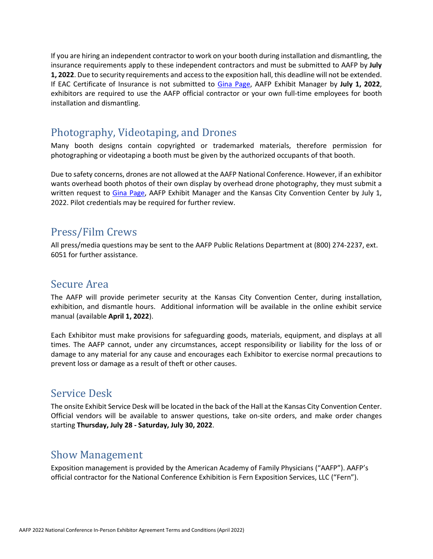If you are hiring an independent contractor to work on your booth during installation and dismantling, the insurance requirements apply to these independent contractors and must be submitted to AAFP by **July 1, 2022**. Due to security requirements and access to the exposition hall, this deadline will not be extended. If EAC Certificate of Insurance is not submitted to [Gina Page,](mailto:events@aafp.org) AAFP Exhibit Manager by **July 1, 2022**, exhibitors are required to use the AAFP official contractor or your own full-time employees for booth installation and dismantling.

### <span id="page-18-0"></span>Photography, Videotaping, and Drones

Many booth designs contain copyrighted or trademarked materials, therefore permission for photographing or videotaping a booth must be given by the authorized occupants of that booth.

Due to safety concerns, drones are not allowed at the AAFP National Conference. However, if an exhibitor wants overhead booth photos of their own display by overhead drone photography, they must submit a written request to [Gina Page,](mailto:events@aafp.org) AAFP Exhibit Manager and the Kansas City Convention Center by July 1, 2022. Pilot credentials may be required for further review.

### <span id="page-18-1"></span>Press/Film Crews

All press/media questions may be sent to the AAFP Public Relations Department at (800) 274-2237, ext. 6051 for further assistance.

### <span id="page-18-2"></span>Secure Area

The AAFP will provide perimeter security at the Kansas City Convention Center, during installation, exhibition, and dismantle hours. Additional information will be available in the online exhibit service manual (available **April 1, 2022**).

Each Exhibitor must make provisions for safeguarding goods, materials, equipment, and displays at all times. The AAFP cannot, under any circumstances, accept responsibility or liability for the loss of or damage to any material for any cause and encourages each Exhibitor to exercise normal precautions to prevent loss or damage as a result of theft or other causes.

### <span id="page-18-3"></span>Service Desk

The onsite Exhibit Service Desk will be located in the back of the Hall at the Kansas City Convention Center. Official vendors will be available to answer questions, take on-site orders, and make order changes starting **Thursday, July 28 - Saturday, July 30, 2022**.

### <span id="page-18-4"></span>Show Management

Exposition management is provided by the American Academy of Family Physicians ("AAFP"). AAFP's official contractor for the National Conference Exhibition is Fern Exposition Services, LLC ("Fern").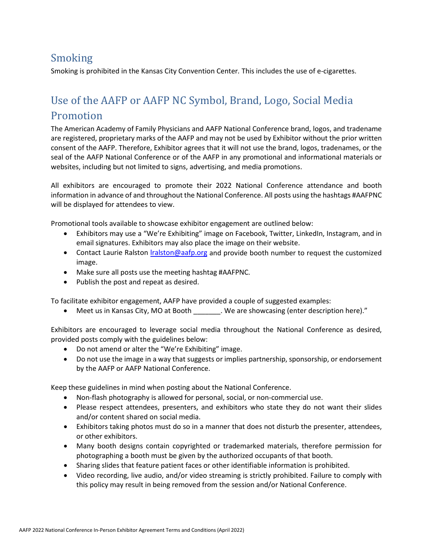## <span id="page-19-0"></span>Smoking

Smoking is prohibited in the Kansas City Convention Center*.* This includes the use of e-cigarettes.

# <span id="page-19-1"></span>Use of the AAFP or AAFP NC Symbol, Brand, Logo, Social Media Promotion

The American Academy of Family Physicians and AAFP National Conference brand, logos, and tradename are registered, proprietary marks of the AAFP and may not be used by Exhibitor without the prior written consent of the AAFP. Therefore, Exhibitor agrees that it will not use the brand, logos, tradenames, or the seal of the AAFP National Conference or of the AAFP in any promotional and informational materials or websites, including but not limited to signs, advertising, and media promotions.

All exhibitors are encouraged to promote their 2022 National Conference attendance and booth information in advance of and throughout the National Conference. All posts using the hashtags #AAFPNC will be displayed for attendees to view.

Promotional tools available to showcase exhibitor engagement are outlined below:

- Exhibitors may use a "We're Exhibiting" image on Facebook, Twitter, LinkedIn, Instagram, and in email signatures. Exhibitors may also place the image on their website.
- Contact Laurie Ralston [lralston@aafp.org](mailto:lralston@aafp.org) and provide booth number to request the customized image.
- Make sure all posts use the meeting hashtag #AAFPNC.
- Publish the post and repeat as desired.

To facilitate exhibitor engagement, AAFP have provided a couple of suggested examples:

• Meet us in Kansas City, MO at Booth \_\_\_\_\_\_\_. We are showcasing (enter description here)."

Exhibitors are encouraged to leverage social media throughout the National Conference as desired, provided posts comply with the guidelines below:

- Do not amend or alter the "We're Exhibiting" image.
- Do not use the image in a way that suggests or implies partnership, sponsorship, or endorsement by the AAFP or AAFP National Conference.

Keep these guidelines in mind when posting about the National Conference.

- Non-flash photography is allowed for personal, social, or non-commercial use.
- Please respect attendees, presenters, and exhibitors who state they do not want their slides and/or content shared on social media.
- Exhibitors taking photos must do so in a manner that does not disturb the presenter, attendees, or other exhibitors.
- Many booth designs contain copyrighted or trademarked materials, therefore permission for photographing a booth must be given by the authorized occupants of that booth.
- Sharing slides that feature patient faces or other identifiable information is prohibited.
- Video recording, live audio, and/or video streaming is strictly prohibited. Failure to comply with this policy may result in being removed from the session and/or National Conference.